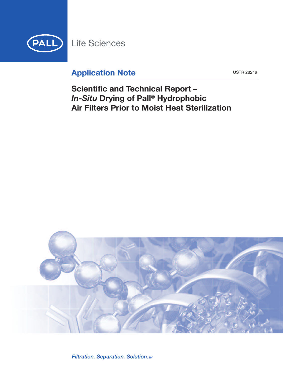

# **Application Note**

**USTR 2821a** 

**Scientific and Technical Report -**In-Situ Drying of Pall<sup>®</sup> Hydrophobic **Air Filters Prior to Moist Heat Sterilization** 



Filtration. Separation. Solution. SM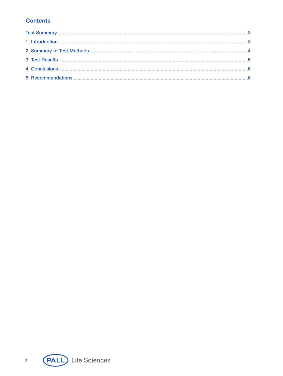# **Contents**

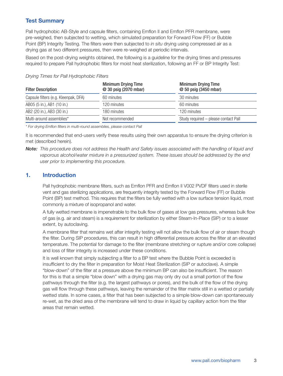# **Test Summary**

Pall hydrophobic AB-Style and capsule filters, containing Emflon II and Emflon PFR membrane, were pre-weighed, then subjected to wetting, which simulated preparation for Forward Flow (FF) or Bubble Point (BP) Integrity Testing. The filters were then subjected to *in situ* drying using compressed air as a drying gas at two different pressures, then were re-weighed at periodic intervals.

Based on the post-drying weights obtained, the following is a guideline for the drying times and pressures required to prepare Pall hydrophobic filters for moist heat sterilization, following an FF or BP Integrity Test:

| <b>Filter Description</b>            | <b>Minimum Drying Time</b><br>@ 30 psig (2070 mbar) | <b>Minimum Drying Time</b><br>@ 50 psig (3450 mbar) |
|--------------------------------------|-----------------------------------------------------|-----------------------------------------------------|
| Capsule filters (e.g. Kleenpak, DFA) | 60 minutes                                          | 30 minutes                                          |
| AB05 (5 in.), AB1 (10 in.)           | 120 minutes                                         | 60 minutes                                          |
| AB2 (20 in.), AB3 (30 in.)           | 180 minutes                                         | 120 minutes                                         |
| Multi-around assemblies*             | Not recommended                                     | Study required - please contact Pall                |

### *Drying Times for Pall Hydrophobic Filters*

*\* For drying Emflon filters in multi-round assemblies, please contact Pall*

It is recommended that end-users verify these results using their own apparatus to ensure the drying criterion is met (described herein).

Note: This procedure does not address the Health and Safety issues associated with the handling of liquid and *vaporous alcohol/water mixture in a pressurized system. These issues should be addressed by the end user prior to implementing this procedure.*

# **1. Introduction**

Pall hydrophobic membrane filters, such as Emflon PFR and Emflon II V002 PVDF filters used in sterile vent and gas sterilizing applications, are frequently integrity tested by the Forward Flow (FF) or Bubble Point (BP) test method. This requires that the filters be fully wetted with a low surface tension liquid, most commonly a mixture of isopropanol and water.

A fully wetted membrane is impenetrable to the bulk flow of gases at low gas pressures, whereas bulk flow of gas (e.g. air and steam) is a requirement for sterilization by either Steam-In-Place (SIP) or to a lesser extent, by autoclaving.

A membrane filter that remains wet after integrity testing will not allow the bulk flow of air or steam though the filter. During SIP procedures, this can result in high differential pressure across the filter at an elevated temperature. The potential for damage to the filter (membrane stretching or rupture and/or core collapse) and loss of filter integrity is increased under these conditions.

It is well known that simply subjecting a filter to a BP test where the Bubble Point is exceeded is insufficient to dry the filter in preparation for Moist Heat Sterilization (SIP or autoclave). A simple "blow-down" of the filter at a pressure above the minimum BP can also be insufficient. The reason for this is that a simple "blow down" with a drying gas may only dry out a small portion of the flow pathways through the filter (e.g. the largest pathways or pores), and the bulk of the flow of the drying gas will flow through these pathways, leaving the remainder of the filter matrix still in a wetted or partially wetted state. In some cases, a filter that has been subjected to a simple blow-down can spontaneously re-wet, as the dried area of the membrane will tend to draw in liquid by capillary action from the filter areas that remain wetted.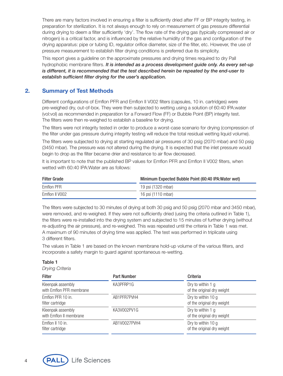There are many factors involved in ensuring a filter is sufficiently dried after FF or BP integrity testing, in preparation for sterilization. It is not always enough to rely on measurement of gas pressure differential during drying to deem a filter sufficiently 'dry'. The flow rate of the drying gas (typically compressed air or nitrogen) is a critical factor, and is influenced by the relative humidity of the gas and configuration of the drying apparatus: pipe or tubing ID, regulator orifice diameter, size of the filter, etc. However, the use of pressure measurement to establish filter drying conditions is preferred due its simplicity.

This report gives a guideline on the approximate pressures and drying times required to dry Pall hydrophobic membrane filters. *It is intended as a process development guide only. As every set-up is different, it is recommended that the test described herein be repeated by the end-user to establish sufficient filter drying for the user's application.*

# **2. Summary of Test Methods**

Different configurations of Emflon PFR and Emflon II V002 filters (capsules, 10 in. cartridges) were pre-weighed dry, out-of-box. They were then subjected to wetting using a solution of 60:40 IPA:water (vol:vol) as recommended in preparation for a Forward Flow (FF) or Bubble Point (BP) integrity test. The filters were then re-weighed to establish a baseline for drying.

The filters were not integrity tested in order to produce a worst-case scenario for drying (compression of the filter under gas pressure during integrity testing will reduce the total residual wetting liquid volume).

The filters were subjected to drying at starting regulated air pressures of 30 psig (2070 mbar) and 50 psig (3450 mbar). The pressure was not altered during the drying. It is expected that the inlet pressure would begin to drop as the filter became drier and resistance to air flow decreased.

It is important to note that the published BP values for Emflon PFR and Emflon II V002 filters, when wetted with 60:40 IPA:Water are as follows:

| <b>Filter Grade</b> | Minimum Expected Bubble Point (60:40 IPA: Water wet) |
|---------------------|------------------------------------------------------|
| Emflon PFR          | 19 psi (1320 mbar)                                   |
| Emflon II V002      | 16 psi (1110 mbar)                                   |

The filters were subjected to 30 minutes of drying at both 30 psig and 50 psig (2070 mbar and 3450 mbar), were removed, and re-weighed. If they were not sufficiently dried (using the criteria outlined in Table 1), the filters were re-installed into the drying system and subjected to 15 minutes of further drying (without re-adjusting the air pressure), and re-weighed. This was repeated until the criteria in Table 1 was met. A maximum of 90 minutes of drying time was applied. The test was performed in triplicate using 3 different filters.

The values in Table 1 are based on the known membrane hold-up volume of the various filters, and incorporate a safety margin to guard against spontaneous re-wetting.

### Table 1

*Drying Criteria*

| <b>Filter</b>                                 | <b>Part Number</b> | Criteria                                         |
|-----------------------------------------------|--------------------|--------------------------------------------------|
| Kleenpak assembly<br>with Emflon PFR membrane | KA3PFRP1G          | Dry to within 1 g<br>of the original dry weight  |
| Emflon PFR 10 in.<br>filter cartridge         | AB1PFR7PVH4        | Dry to within 10 g<br>of the original dry weight |
| Kleenpak assembly<br>with Emflon II membrane  | KA3V002PV1G        | Dry to within 1 g<br>of the original dry weight  |
| Emflon II 10 in.<br>filter cartridge          | AB1V0027PVH4       | Dry to within 10 g<br>of the original dry weight |

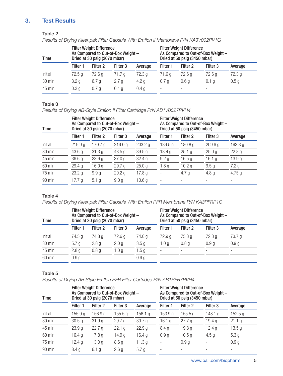# **3. Test Results**

### Table 2

*Results of Drying Kleenpak Filter Capsule With Emflon II Membrane P/N KA3V002PV1G*

| Time             | <b>Filter Weight Difference</b><br>As Compared to Out-of-Box Weight -<br>Dried at 30 psig (2070 mbar) |                     |                  |                   | <b>Filter Weight Difference</b><br>As Compared to Out-of-Box Weight -<br>Dried at 50 psig (3450 mbar) |                     |                          |                   |
|------------------|-------------------------------------------------------------------------------------------------------|---------------------|------------------|-------------------|-------------------------------------------------------------------------------------------------------|---------------------|--------------------------|-------------------|
|                  | Filter 1                                                                                              | Filter <sub>2</sub> | Filter 3         | Average           | Filter 1                                                                                              | Filter <sub>2</sub> | Filter 3                 | Average           |
| Initial          | 72.5g                                                                                                 | 72.6 g              | 71.7 g           | 72.3 <sub>g</sub> | 71.6 g                                                                                                | 72.6 a              | 72.6g                    | 72.3 <sub>g</sub> |
| 30 min           | 3.2 <sub>g</sub>                                                                                      | 6.7 <sub>q</sub>    | 2.7 <sub>q</sub> | 4.2 g             | 0.7 <sub>a</sub>                                                                                      | 0.6 <sub>q</sub>    | 0.1 <sub>q</sub>         | 0.5 <sub>g</sub>  |
| $45 \text{ min}$ | 0.3 <sub>q</sub>                                                                                      | 0.7 <sub>a</sub>    | 0.1 <sub>a</sub> | 0.4 <sub>g</sub>  |                                                                                                       |                     | $\overline{\phantom{a}}$ |                   |

#### Table 3

*Results of Drying AB-Style Emflon II Filter Cartridge P/N AB1V0027PVH4*

| Time    |                    | <b>Filter Weight Difference</b><br>Dried at 30 psig (2070 mbar) | As Compared to Out-of-Box Weight - |                   | <b>Filter Weight Difference</b><br>As Compared to Out-of-Box Weight -<br>Dried at 50 psig (3450 mbar) |                          |                     |                   |
|---------|--------------------|-----------------------------------------------------------------|------------------------------------|-------------------|-------------------------------------------------------------------------------------------------------|--------------------------|---------------------|-------------------|
|         | Filter 1           | Filter <sub>2</sub>                                             | Filter 3                           | Average           | Filter 1                                                                                              | Filter <sub>2</sub>      | Filter <sub>3</sub> | Average           |
| Initial | 219.9 <sub>g</sub> | 170.7 g                                                         | 219.0 g                            | 203.2 g           | 189.5 g                                                                                               | 180.8 g                  | 209.6 <sub>g</sub>  | 193.3 g           |
| 30 min  | 43.6 <sub>g</sub>  | 31.3g                                                           | 43.5 g                             | 39.5g             | 18.4 g                                                                                                | 25.1 g                   | 25.0 <sub>q</sub>   | 22.8 <sub>g</sub> |
| 45 min  | 36.6 <sub>g</sub>  | 23.6 <sub>g</sub>                                               | 37.0 <sub>g</sub>                  | 32.4g             | 9.2 <sub>g</sub>                                                                                      | 16.5 <sub>g</sub>        | 16.1 g              | 13.9 <sub>g</sub> |
| 60 min  | 29.4 g             | 16.0 <sub>g</sub>                                               | 29.7 <sub>g</sub>                  | 25.0 <sub>g</sub> | 1.8 <sub>g</sub>                                                                                      | 10.2 $g$                 | 9.5 <sub>g</sub>    | 7.2 <sub>g</sub>  |
| 75 min  | 23.2 <sub>g</sub>  | 9.9 <sub>g</sub>                                                | 20.2 <sub>g</sub>                  | 17.8 <sub>g</sub> |                                                                                                       | 4.7 <sub>g</sub>         | 4.8 <sub>g</sub>    | 4.75 $g$          |
| 90 min  | 17.7 $g$           | 5.1 <sub>g</sub>                                                | 9.0 <sub>q</sub>                   | 10.6 <sub>g</sub> |                                                                                                       | $\overline{\phantom{a}}$ | ۰                   |                   |

# Table 4

*Results of Drying Kleenpak Filter Capsule With Emflon PFR Membrane P/N KA3PFRP1G*

| Time    |                  | <b>Filter Weight Difference</b><br>Dried at 30 psig (2070 mbar) | As Compared to Out-of-Box Weight - |                  | <b>Filter Weight Difference</b><br>As Compared to Out-of-Box Weight -<br>Dried at 50 psig (3450 mbar) |                     |                          |                          |
|---------|------------------|-----------------------------------------------------------------|------------------------------------|------------------|-------------------------------------------------------------------------------------------------------|---------------------|--------------------------|--------------------------|
|         | Filter 1         | Filter <sub>2</sub>                                             | Filter <sub>3</sub>                | Average          | Filter 1                                                                                              | Filter <sub>2</sub> | Filter 3                 | Average                  |
| Initial | 74.5 g           | 74.8 g                                                          | 72.6 <sub>g</sub>                  | 74.0 g           | 72.9 <sub>g</sub>                                                                                     | 75.8 g              | 72.3 <sub>g</sub>        | 73.7 g                   |
| 30 min  | 5.7 <sub>g</sub> | 2.8 <sub>q</sub>                                                | 2.0 <sub>g</sub>                   | 3.5 <sub>q</sub> | 1.0 <sub>q</sub>                                                                                      | 0.8 <sub>q</sub>    | 0.9 <sub>g</sub>         | 0.9 <sub>g</sub>         |
| 45 min  | 2.8 <sub>g</sub> | 0.8 <sub>q</sub>                                                | 1.0 <sub>q</sub>                   | 1.5 <sub>g</sub> |                                                                                                       |                     |                          | $\overline{\phantom{0}}$ |
| 60 min  | 0.9 <sub>g</sub> | $\overline{\phantom{0}}$                                        |                                    | 0.9 <sub>q</sub> | $\overline{\phantom{0}}$                                                                              |                     | $\overline{\phantom{a}}$ |                          |

### Table 5

*Results of Drying AB Style Emflon PFR Filter Cartridge P/N AB1PFR7PVH4*

| Time    |                   | <b>Filter Weight Difference</b><br>Dried at 30 psig (2070 mbar) | As Compared to Out-of-Box Weight - |                   | <b>Filter Weight Difference</b><br>As Compared to Out-of-Box Weight -<br>Dried at 50 psig (3450 mbar) |                          |                     |                   |
|---------|-------------------|-----------------------------------------------------------------|------------------------------------|-------------------|-------------------------------------------------------------------------------------------------------|--------------------------|---------------------|-------------------|
|         | Filter 1          | Filter <sub>2</sub>                                             | Filter <sub>3</sub>                | Average           | Filter 1                                                                                              | Filter <sub>2</sub>      | Filter <sub>3</sub> | Average           |
| Initial | 155.9 g           | 156.9 <sub>g</sub>                                              | 155.5 g                            | 156.1 g           | 153.9 g                                                                                               | 155.5 g                  | 148.1 g             | 152.5 g           |
| 30 min  | 30.5 <sub>g</sub> | 31.9g                                                           | 29.7 g                             | 30.7 <sub>g</sub> | 16.1 $g$                                                                                              | 27.7 g                   | 19.4 <sub>g</sub>   | 21.1 g            |
| 45 min  | 23.9 <sub>g</sub> | 22.7 g                                                          | 22.1 g                             | 22.9 <sub>g</sub> | 8.4 <sub>g</sub>                                                                                      | 19.8 <sub>g</sub>        | 12.4 g              | 13.5 <sub>g</sub> |
| 60 min  | 16.4 g            | 17.8 <sub>g</sub>                                               | 14.9 <sub>g</sub>                  | 16.4 <sub>g</sub> | 0.9 <sub>q</sub>                                                                                      | 10.5 <sub>g</sub>        | 4.5 <sub>g</sub>    | 5.3 <sub>g</sub>  |
| 75 min  | 12.4 g            | 13.0 g                                                          | 8.6 <sub>g</sub>                   | 11.3 <sub>g</sub> |                                                                                                       | 0.9 <sub>g</sub>         |                     | 0.9g              |
| 90 min  | 8.4g              | 6.1 <sub>g</sub>                                                | 2.6 <sub>q</sub>                   | 5.7 <sub>g</sub>  | $\overline{\phantom{0}}$                                                                              | $\overline{\phantom{0}}$ |                     |                   |